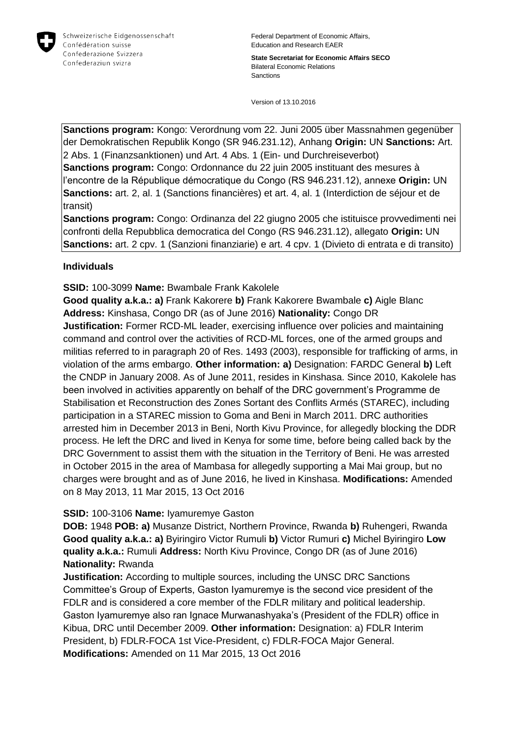

**State Secretariat for Economic Affairs SECO** Bilateral Economic Relations Sanctions

Version of 13.10.2016

**Sanctions program:** Kongo: Verordnung vom 22. Juni 2005 über Massnahmen gegenüber der Demokratischen Republik Kongo (SR 946.231.12), Anhang **Origin:** UN **Sanctions:** Art. 2 Abs. 1 (Finanzsanktionen) und Art. 4 Abs. 1 (Ein- und Durchreiseverbot) **Sanctions program:** Congo: Ordonnance du 22 juin 2005 instituant des mesures à l'encontre de la République démocratique du Congo (RS 946.231.12), annexe **Origin:** UN **Sanctions:** art. 2, al. 1 (Sanctions financières) et art. 4, al. 1 (Interdiction de séjour et de transit)

**Sanctions program:** Congo: Ordinanza del 22 giugno 2005 che istituisce provvedimenti nei confronti della Repubblica democratica del Congo (RS 946.231.12), allegato **Origin:** UN **Sanctions:** art. 2 cpv. 1 (Sanzioni finanziarie) e art. 4 cpv. 1 (Divieto di entrata e di transito)

## **Individuals**

**SSID:** 100-3099 **Name:** Bwambale Frank Kakolele

**Good quality a.k.a.: a)** Frank Kakorere **b)** Frank Kakorere Bwambale **c)** Aigle Blanc **Address:** Kinshasa, Congo DR (as of June 2016) **Nationality:** Congo DR **Justification:** Former RCD-ML leader, exercising influence over policies and maintaining command and control over the activities of RCD-ML forces, one of the armed groups and militias referred to in paragraph 20 of Res. 1493 (2003), responsible for trafficking of arms, in violation of the arms embargo. **Other information: a)** Designation: FARDC General **b)** Left the CNDP in January 2008. As of June 2011, resides in Kinshasa. Since 2010, Kakolele has been involved in activities apparently on behalf of the DRC government's Programme de Stabilisation et Reconstruction des Zones Sortant des Conflits Armés (STAREC), including participation in a STAREC mission to Goma and Beni in March 2011. DRC authorities arrested him in December 2013 in Beni, North Kivu Province, for allegedly blocking the DDR process. He left the DRC and lived in Kenya for some time, before being called back by the DRC Government to assist them with the situation in the Territory of Beni. He was arrested in October 2015 in the area of Mambasa for allegedly supporting a Mai Mai group, but no charges were brought and as of June 2016, he lived in Kinshasa. **Modifications:** Amended on 8 May 2013, 11 Mar 2015, 13 Oct 2016

# **SSID:** 100-3106 **Name:** Iyamuremye Gaston

**DOB:** 1948 **POB: a)** Musanze District, Northern Province, Rwanda **b)** Ruhengeri, Rwanda **Good quality a.k.a.: a)** Byiringiro Victor Rumuli **b)** Victor Rumuri **c)** Michel Byiringiro **Low quality a.k.a.:** Rumuli **Address:** North Kivu Province, Congo DR (as of June 2016) **Nationality:** Rwanda

**Justification:** According to multiple sources, including the UNSC DRC Sanctions Committee's Group of Experts, Gaston Iyamuremye is the second vice president of the FDLR and is considered a core member of the FDLR military and political leadership. Gaston Iyamuremye also ran Ignace Murwanashyaka's (President of the FDLR) office in Kibua, DRC until December 2009. **Other information:** Designation: a) FDLR Interim President, b) FDLR-FOCA 1st Vice-President, c) FDLR-FOCA Major General. **Modifications:** Amended on 11 Mar 2015, 13 Oct 2016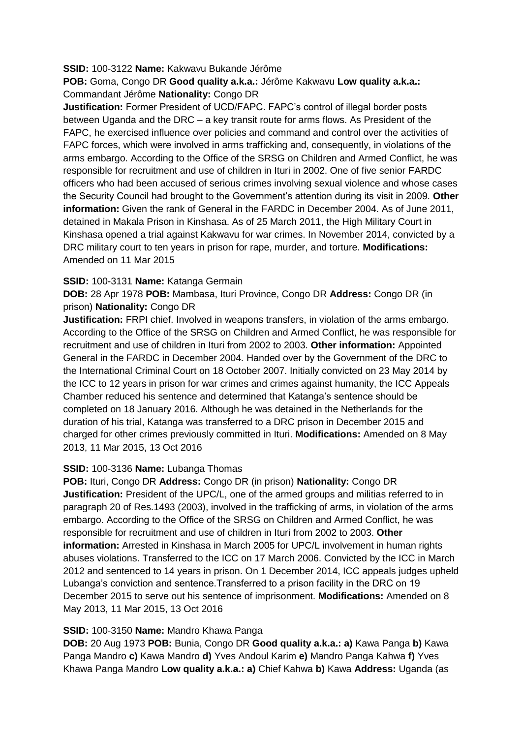## **SSID:** 100-3122 **Name:** Kakwavu Bukande Jérôme

**POB:** Goma, Congo DR **Good quality a.k.a.:** Jérôme Kakwavu **Low quality a.k.a.:**  Commandant Jérôme **Nationality:** Congo DR

**Justification:** Former President of UCD/FAPC. FAPC's control of illegal border posts between Uganda and the DRC – a key transit route for arms flows. As President of the FAPC, he exercised influence over policies and command and control over the activities of FAPC forces, which were involved in arms trafficking and, consequently, in violations of the arms embargo. According to the Office of the SRSG on Children and Armed Conflict, he was responsible for recruitment and use of children in Ituri in 2002. One of five senior FARDC officers who had been accused of serious crimes involving sexual violence and whose cases the Security Council had brought to the Government's attention during its visit in 2009. **Other information:** Given the rank of General in the FARDC in December 2004. As of June 2011, detained in Makala Prison in Kinshasa. As of 25 March 2011, the High Military Court in Kinshasa opened a trial against Kakwavu for war crimes. In November 2014, convicted by a DRC military court to ten years in prison for rape, murder, and torture. **Modifications:**  Amended on 11 Mar 2015

## **SSID:** 100-3131 **Name:** Katanga Germain

**DOB:** 28 Apr 1978 **POB:** Mambasa, Ituri Province, Congo DR **Address:** Congo DR (in prison) **Nationality:** Congo DR

**Justification:** FRPI chief. Involved in weapons transfers, in violation of the arms embargo. According to the Office of the SRSG on Children and Armed Conflict, he was responsible for recruitment and use of children in Ituri from 2002 to 2003. **Other information:** Appointed General in the FARDC in December 2004. Handed over by the Government of the DRC to the International Criminal Court on 18 October 2007. Initially convicted on 23 May 2014 by the ICC to 12 years in prison for war crimes and crimes against humanity, the ICC Appeals Chamber reduced his sentence and determined that Katanga's sentence should be completed on 18 January 2016. Although he was detained in the Netherlands for the duration of his trial, Katanga was transferred to a DRC prison in December 2015 and charged for other crimes previously committed in Ituri. **Modifications:** Amended on 8 May 2013, 11 Mar 2015, 13 Oct 2016

# **SSID:** 100-3136 **Name:** Lubanga Thomas

**POB:** Ituri, Congo DR **Address:** Congo DR (in prison) **Nationality:** Congo DR **Justification:** President of the UPC/L, one of the armed groups and militias referred to in paragraph 20 of Res.1493 (2003), involved in the trafficking of arms, in violation of the arms embargo. According to the Office of the SRSG on Children and Armed Conflict, he was responsible for recruitment and use of children in Ituri from 2002 to 2003. **Other information:** Arrested in Kinshasa in March 2005 for UPC/L involvement in human rights abuses violations. Transferred to the ICC on 17 March 2006. Convicted by the ICC in March 2012 and sentenced to 14 years in prison. On 1 December 2014, ICC appeals judges upheld Lubanga's conviction and sentence.Transferred to a prison facility in the DRC on 19 December 2015 to serve out his sentence of imprisonment. **Modifications:** Amended on 8 May 2013, 11 Mar 2015, 13 Oct 2016

## **SSID:** 100-3150 **Name:** Mandro Khawa Panga

**DOB:** 20 Aug 1973 **POB:** Bunia, Congo DR **Good quality a.k.a.: a)** Kawa Panga **b)** Kawa Panga Mandro **c)** Kawa Mandro **d)** Yves Andoul Karim **e)** Mandro Panga Kahwa **f)** Yves Khawa Panga Mandro **Low quality a.k.a.: a)** Chief Kahwa **b)** Kawa **Address:** Uganda (as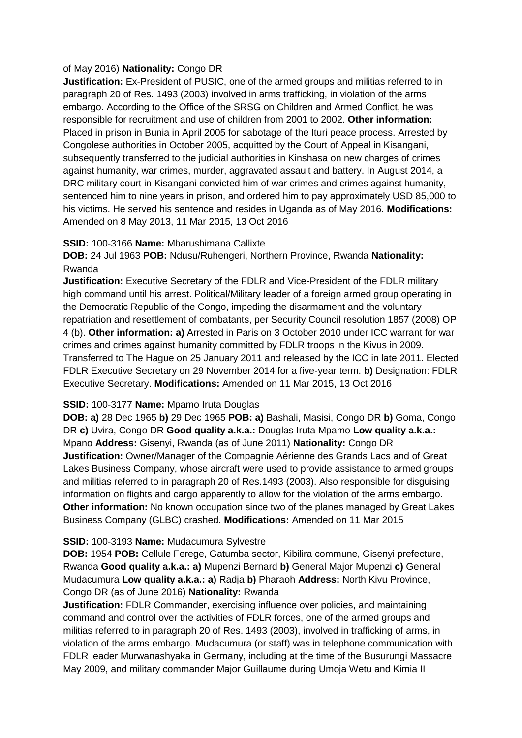## of May 2016) **Nationality:** Congo DR

**Justification:** Ex-President of PUSIC, one of the armed groups and militias referred to in paragraph 20 of Res. 1493 (2003) involved in arms trafficking, in violation of the arms embargo. According to the Office of the SRSG on Children and Armed Conflict, he was responsible for recruitment and use of children from 2001 to 2002. **Other information:** Placed in prison in Bunia in April 2005 for sabotage of the Ituri peace process. Arrested by Congolese authorities in October 2005, acquitted by the Court of Appeal in Kisangani, subsequently transferred to the judicial authorities in Kinshasa on new charges of crimes against humanity, war crimes, murder, aggravated assault and battery. In August 2014, a DRC military court in Kisangani convicted him of war crimes and crimes against humanity, sentenced him to nine years in prison, and ordered him to pay approximately USD 85,000 to his victims. He served his sentence and resides in Uganda as of May 2016. **Modifications:**  Amended on 8 May 2013, 11 Mar 2015, 13 Oct 2016

## **SSID:** 100-3166 **Name:** Mbarushimana Callixte

**DOB:** 24 Jul 1963 **POB:** Ndusu/Ruhengeri, Northern Province, Rwanda **Nationality:** Rwanda

**Justification:** Executive Secretary of the FDLR and Vice-President of the FDLR military high command until his arrest. Political/Military leader of a foreign armed group operating in the Democratic Republic of the Congo, impeding the disarmament and the voluntary repatriation and resettlement of combatants, per Security Council resolution 1857 (2008) OP 4 (b). **Other information: a)** Arrested in Paris on 3 October 2010 under ICC warrant for war crimes and crimes against humanity committed by FDLR troops in the Kivus in 2009. Transferred to The Hague on 25 January 2011 and released by the ICC in late 2011. Elected FDLR Executive Secretary on 29 November 2014 for a five-year term. **b)** Designation: FDLR Executive Secretary. **Modifications:** Amended on 11 Mar 2015, 13 Oct 2016

# **SSID:** 100-3177 **Name:** Mpamo Iruta Douglas

**DOB: a)** 28 Dec 1965 **b)** 29 Dec 1965 **POB: a)** Bashali, Masisi, Congo DR **b)** Goma, Congo DR **c)** Uvira, Congo DR **Good quality a.k.a.:** Douglas Iruta Mpamo **Low quality a.k.a.:**  Mpano **Address:** Gisenyi, Rwanda (as of June 2011) **Nationality:** Congo DR **Justification:** Owner/Manager of the Compagnie Aérienne des Grands Lacs and of Great Lakes Business Company, whose aircraft were used to provide assistance to armed groups and militias referred to in paragraph 20 of Res.1493 (2003). Also responsible for disguising information on flights and cargo apparently to allow for the violation of the arms embargo. **Other information:** No known occupation since two of the planes managed by Great Lakes Business Company (GLBC) crashed. **Modifications:** Amended on 11 Mar 2015

# **SSID:** 100-3193 **Name:** Mudacumura Sylvestre

**DOB:** 1954 **POB:** Cellule Ferege, Gatumba sector, Kibilira commune, Gisenyi prefecture, Rwanda **Good quality a.k.a.: a)** Mupenzi Bernard **b)** General Major Mupenzi **c)** General Mudacumura **Low quality a.k.a.: a)** Radja **b)** Pharaoh **Address:** North Kivu Province, Congo DR (as of June 2016) **Nationality:** Rwanda

**Justification:** FDLR Commander, exercising influence over policies, and maintaining command and control over the activities of FDLR forces, one of the armed groups and militias referred to in paragraph 20 of Res. 1493 (2003), involved in trafficking of arms, in violation of the arms embargo. Mudacumura (or staff) was in telephone communication with FDLR leader Murwanashyaka in Germany, including at the time of the Busurungi Massacre May 2009, and military commander Major Guillaume during Umoja Wetu and Kimia II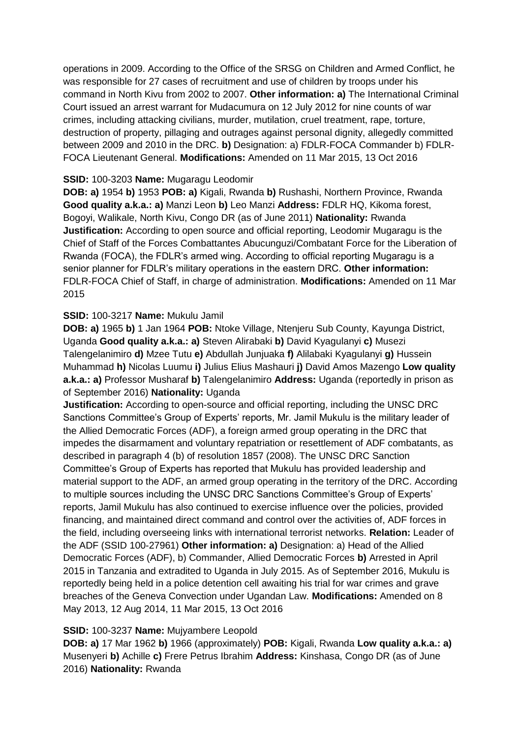operations in 2009. According to the Office of the SRSG on Children and Armed Conflict, he was responsible for 27 cases of recruitment and use of children by troops under his command in North Kivu from 2002 to 2007. **Other information: a)** The International Criminal Court issued an arrest warrant for Mudacumura on 12 July 2012 for nine counts of war crimes, including attacking civilians, murder, mutilation, cruel treatment, rape, torture, destruction of property, pillaging and outrages against personal dignity, allegedly committed between 2009 and 2010 in the DRC. **b)** Designation: a) FDLR-FOCA Commander b) FDLR-FOCA Lieutenant General. **Modifications:** Amended on 11 Mar 2015, 13 Oct 2016

## **SSID:** 100-3203 **Name:** Mugaragu Leodomir

**DOB: a)** 1954 **b)** 1953 **POB: a)** Kigali, Rwanda **b)** Rushashi, Northern Province, Rwanda **Good quality a.k.a.: a)** Manzi Leon **b)** Leo Manzi **Address:** FDLR HQ, Kikoma forest, Bogoyi, Walikale, North Kivu, Congo DR (as of June 2011) **Nationality:** Rwanda **Justification:** According to open source and official reporting, Leodomir Mugaragu is the Chief of Staff of the Forces Combattantes Abucunguzi/Combatant Force for the Liberation of Rwanda (FOCA), the FDLR's armed wing. According to official reporting Mugaragu is a senior planner for FDLR's military operations in the eastern DRC. **Other information:** FDLR-FOCA Chief of Staff, in charge of administration. **Modifications:** Amended on 11 Mar 2015

# **SSID:** 100-3217 **Name:** Mukulu Jamil

**DOB: a)** 1965 **b)** 1 Jan 1964 **POB:** Ntoke Village, Ntenjeru Sub County, Kayunga District, Uganda **Good quality a.k.a.: a)** Steven Alirabaki **b)** David Kyagulanyi **c)** Musezi Talengelanimiro **d)** Mzee Tutu **e)** Abdullah Junjuaka **f)** Alilabaki Kyagulanyi **g)** Hussein Muhammad **h)** Nicolas Luumu **i)** Julius Elius Mashauri **j)** David Amos Mazengo **Low quality a.k.a.: a)** Professor Musharaf **b)** Talengelanimiro **Address:** Uganda (reportedly in prison as of September 2016) **Nationality:** Uganda

**Justification:** According to open-source and official reporting, including the UNSC DRC Sanctions Committee's Group of Experts' reports, Mr. Jamil Mukulu is the military leader of the Allied Democratic Forces (ADF), a foreign armed group operating in the DRC that impedes the disarmament and voluntary repatriation or resettlement of ADF combatants, as described in paragraph 4 (b) of resolution 1857 (2008). The UNSC DRC Sanction Committee's Group of Experts has reported that Mukulu has provided leadership and material support to the ADF, an armed group operating in the territory of the DRC. According to multiple sources including the UNSC DRC Sanctions Committee's Group of Experts' reports, Jamil Mukulu has also continued to exercise influence over the policies, provided financing, and maintained direct command and control over the activities of, ADF forces in the field, including overseeing links with international terrorist networks. **Relation:** Leader of the ADF (SSID 100-27961) **Other information: a)** Designation: a) Head of the Allied Democratic Forces (ADF), b) Commander, Allied Democratic Forces **b)** Arrested in April 2015 in Tanzania and extradited to Uganda in July 2015. As of September 2016, Mukulu is reportedly being held in a police detention cell awaiting his trial for war crimes and grave breaches of the Geneva Convection under Ugandan Law. **Modifications:** Amended on 8 May 2013, 12 Aug 2014, 11 Mar 2015, 13 Oct 2016

# **SSID:** 100-3237 **Name:** Mujyambere Leopold

**DOB: a)** 17 Mar 1962 **b)** 1966 (approximately) **POB:** Kigali, Rwanda **Low quality a.k.a.: a)**  Musenyeri **b)** Achille **c)** Frere Petrus Ibrahim **Address:** Kinshasa, Congo DR (as of June 2016) **Nationality:** Rwanda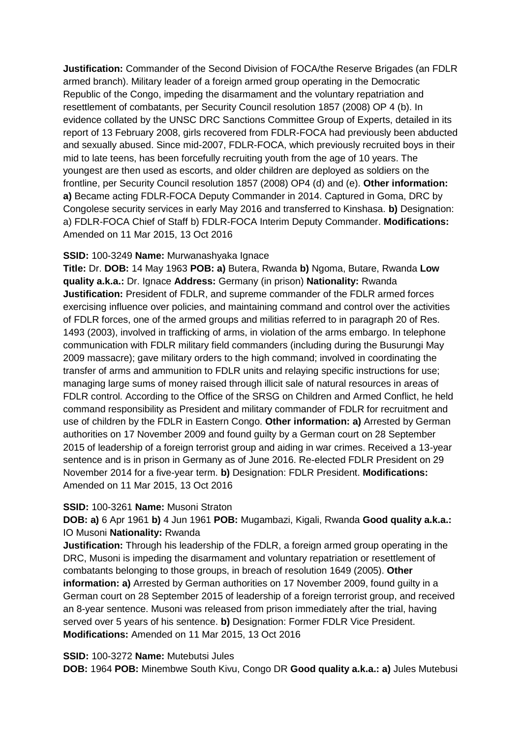**Justification:** Commander of the Second Division of FOCA/the Reserve Brigades (an FDLR armed branch). Military leader of a foreign armed group operating in the Democratic Republic of the Congo, impeding the disarmament and the voluntary repatriation and resettlement of combatants, per Security Council resolution 1857 (2008) OP 4 (b). In evidence collated by the UNSC DRC Sanctions Committee Group of Experts, detailed in its report of 13 February 2008, girls recovered from FDLR-FOCA had previously been abducted and sexually abused. Since mid-2007, FDLR-FOCA, which previously recruited boys in their mid to late teens, has been forcefully recruiting youth from the age of 10 years. The youngest are then used as escorts, and older children are deployed as soldiers on the frontline, per Security Council resolution 1857 (2008) OP4 (d) and (e). **Other information: a)** Became acting FDLR-FOCA Deputy Commander in 2014. Captured in Goma, DRC by Congolese security services in early May 2016 and transferred to Kinshasa. **b)** Designation: a) FDLR-FOCA Chief of Staff b) FDLR-FOCA Interim Deputy Commander. **Modifications:**  Amended on 11 Mar 2015, 13 Oct 2016

## **SSID:** 100-3249 **Name:** Murwanashyaka Ignace

**Title:** Dr. **DOB:** 14 May 1963 **POB: a)** Butera, Rwanda **b)** Ngoma, Butare, Rwanda **Low quality a.k.a.:** Dr. Ignace **Address:** Germany (in prison) **Nationality:** Rwanda **Justification:** President of FDLR, and supreme commander of the FDLR armed forces exercising influence over policies, and maintaining command and control over the activities of FDLR forces, one of the armed groups and militias referred to in paragraph 20 of Res. 1493 (2003), involved in trafficking of arms, in violation of the arms embargo. In telephone communication with FDLR military field commanders (including during the Busurungi May 2009 massacre); gave military orders to the high command; involved in coordinating the transfer of arms and ammunition to FDLR units and relaying specific instructions for use; managing large sums of money raised through illicit sale of natural resources in areas of FDLR control. According to the Office of the SRSG on Children and Armed Conflict, he held command responsibility as President and military commander of FDLR for recruitment and use of children by the FDLR in Eastern Congo. **Other information: a)** Arrested by German authorities on 17 November 2009 and found guilty by a German court on 28 September 2015 of leadership of a foreign terrorist group and aiding in war crimes. Received a 13-year sentence and is in prison in Germany as of June 2016. Re-elected FDLR President on 29 November 2014 for a five-year term. **b)** Designation: FDLR President. **Modifications:**  Amended on 11 Mar 2015, 13 Oct 2016

#### **SSID:** 100-3261 **Name:** Musoni Straton

**DOB: a)** 6 Apr 1961 **b)** 4 Jun 1961 **POB:** Mugambazi, Kigali, Rwanda **Good quality a.k.a.:**  IO Musoni **Nationality:** Rwanda

**Justification:** Through his leadership of the FDLR, a foreign armed group operating in the DRC, Musoni is impeding the disarmament and voluntary repatriation or resettlement of combatants belonging to those groups, in breach of resolution 1649 (2005). **Other information: a)** Arrested by German authorities on 17 November 2009, found guilty in a German court on 28 September 2015 of leadership of a foreign terrorist group, and received an 8-year sentence. Musoni was released from prison immediately after the trial, having served over 5 years of his sentence. **b)** Designation: Former FDLR Vice President. **Modifications:** Amended on 11 Mar 2015, 13 Oct 2016

#### **SSID:** 100-3272 **Name:** Mutebutsi Jules

**DOB:** 1964 **POB:** Minembwe South Kivu, Congo DR **Good quality a.k.a.: a)** Jules Mutebusi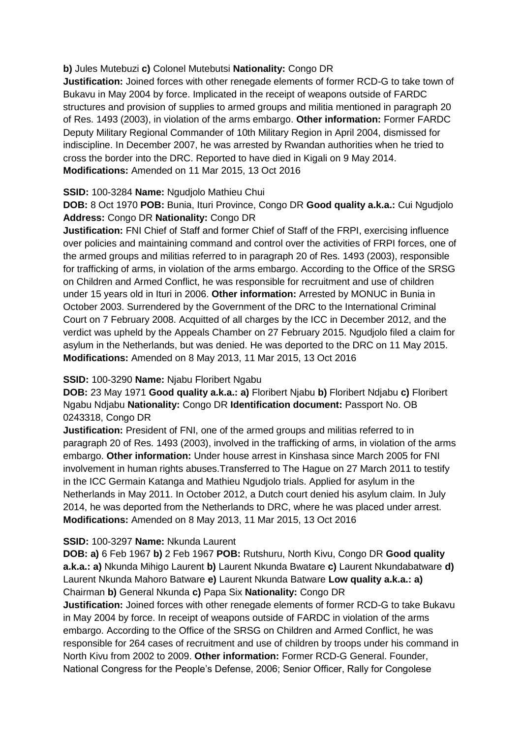## **b)** Jules Mutebuzi **c)** Colonel Mutebutsi **Nationality:** Congo DR

**Justification:** Joined forces with other renegade elements of former RCD-G to take town of Bukavu in May 2004 by force. Implicated in the receipt of weapons outside of FARDC structures and provision of supplies to armed groups and militia mentioned in paragraph 20 of Res. 1493 (2003), in violation of the arms embargo. **Other information:** Former FARDC Deputy Military Regional Commander of 10th Military Region in April 2004, dismissed for indiscipline. In December 2007, he was arrested by Rwandan authorities when he tried to cross the border into the DRC. Reported to have died in Kigali on 9 May 2014. **Modifications:** Amended on 11 Mar 2015, 13 Oct 2016

## **SSID:** 100-3284 **Name:** Ngudjolo Mathieu Chui

**DOB:** 8 Oct 1970 **POB:** Bunia, Ituri Province, Congo DR **Good quality a.k.a.:** Cui Ngudjolo **Address:** Congo DR **Nationality:** Congo DR

**Justification:** FNI Chief of Staff and former Chief of Staff of the FRPI, exercising influence over policies and maintaining command and control over the activities of FRPI forces, one of the armed groups and militias referred to in paragraph 20 of Res. 1493 (2003), responsible for trafficking of arms, in violation of the arms embargo. According to the Office of the SRSG on Children and Armed Conflict, he was responsible for recruitment and use of children under 15 years old in Ituri in 2006. **Other information:** Arrested by MONUC in Bunia in October 2003. Surrendered by the Government of the DRC to the International Criminal Court on 7 February 2008. Acquitted of all charges by the ICC in December 2012, and the verdict was upheld by the Appeals Chamber on 27 February 2015. Ngudjolo filed a claim for asylum in the Netherlands, but was denied. He was deported to the DRC on 11 May 2015. **Modifications:** Amended on 8 May 2013, 11 Mar 2015, 13 Oct 2016

# **SSID:** 100-3290 **Name:** Njabu Floribert Ngabu

**DOB:** 23 May 1971 **Good quality a.k.a.: a)** Floribert Njabu **b)** Floribert Ndjabu **c)** Floribert Ngabu Ndjabu **Nationality:** Congo DR **Identification document:** Passport No. OB 0243318, Congo DR

**Justification:** President of FNI, one of the armed groups and militias referred to in paragraph 20 of Res. 1493 (2003), involved in the trafficking of arms, in violation of the arms embargo. **Other information:** Under house arrest in Kinshasa since March 2005 for FNI involvement in human rights abuses.Transferred to The Hague on 27 March 2011 to testify in the ICC Germain Katanga and Mathieu Ngudjolo trials. Applied for asylum in the Netherlands in May 2011. In October 2012, a Dutch court denied his asylum claim. In July 2014, he was deported from the Netherlands to DRC, where he was placed under arrest. **Modifications:** Amended on 8 May 2013, 11 Mar 2015, 13 Oct 2016

# **SSID:** 100-3297 **Name:** Nkunda Laurent

**DOB: a)** 6 Feb 1967 **b)** 2 Feb 1967 **POB:** Rutshuru, North Kivu, Congo DR **Good quality a.k.a.: a)** Nkunda Mihigo Laurent **b)** Laurent Nkunda Bwatare **c)** Laurent Nkundabatware **d)**  Laurent Nkunda Mahoro Batware **e)** Laurent Nkunda Batware **Low quality a.k.a.: a)**  Chairman **b)** General Nkunda **c)** Papa Six **Nationality:** Congo DR

**Justification:** Joined forces with other renegade elements of former RCD-G to take Bukavu in May 2004 by force. In receipt of weapons outside of FARDC in violation of the arms embargo. According to the Office of the SRSG on Children and Armed Conflict, he was responsible for 264 cases of recruitment and use of children by troops under his command in North Kivu from 2002 to 2009. **Other information:** Former RCD-G General. Founder, National Congress for the People's Defense, 2006; Senior Officer, Rally for Congolese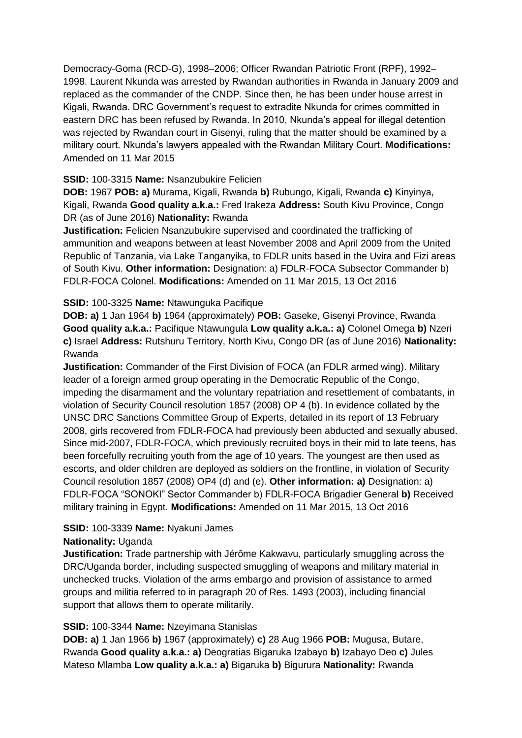Democracy-Goma (RCD-G), 1998–2006; Officer Rwandan Patriotic Front (RPF), 1992– 1998. Laurent Nkunda was arrested by Rwandan authorities in Rwanda in January 2009 and replaced as the commander of the CNDP. Since then, he has been under house arrest in Kigali, Rwanda. DRC Government's request to extradite Nkunda for crimes committed in eastern DRC has been refused by Rwanda. In 2010, Nkunda's appeal for illegal detention was rejected by Rwandan court in Gisenyi, ruling that the matter should be examined by a military court. Nkunda's lawyers appealed with the Rwandan Military Court. **Modifications:**  Amended on 11 Mar 2015

## **SSID:** 100-3315 **Name:** Nsanzubukire Felicien

**DOB:** 1967 **POB: a)** Murama, Kigali, Rwanda **b)** Rubungo, Kigali, Rwanda **c)** Kinyinya, Kigali, Rwanda **Good quality a.k.a.:** Fred Irakeza **Address:** South Kivu Province, Congo DR (as of June 2016) **Nationality:** Rwanda

**Justification:** Felicien Nsanzubukire supervised and coordinated the trafficking of ammunition and weapons between at least November 2008 and April 2009 from the United Republic of Tanzania, via Lake Tanganyika, to FDLR units based in the Uvira and Fizi areas of South Kivu. **Other information:** Designation: a) FDLR-FOCA Subsector Commander b) FDLR-FOCA Colonel. **Modifications:** Amended on 11 Mar 2015, 13 Oct 2016

## **SSID:** 100-3325 **Name:** Ntawunguka Pacifique

**DOB: a)** 1 Jan 1964 **b)** 1964 (approximately) **POB:** Gaseke, Gisenyi Province, Rwanda **Good quality a.k.a.:** Pacifique Ntawungula **Low quality a.k.a.: a)** Colonel Omega **b)** Nzeri **c)** Israel **Address:** Rutshuru Territory, North Kivu, Congo DR (as of June 2016) **Nationality:** Rwanda

**Justification:** Commander of the First Division of FOCA (an FDLR armed wing). Military leader of a foreign armed group operating in the Democratic Republic of the Congo, impeding the disarmament and the voluntary repatriation and resettlement of combatants, in violation of Security Council resolution 1857 (2008) OP 4 (b). In evidence collated by the UNSC DRC Sanctions Committee Group of Experts, detailed in its report of 13 February 2008, girls recovered from FDLR-FOCA had previously been abducted and sexually abused. Since mid-2007, FDLR-FOCA, which previously recruited boys in their mid to late teens, has been forcefully recruiting youth from the age of 10 years. The youngest are then used as escorts, and older children are deployed as soldiers on the frontline, in violation of Security Council resolution 1857 (2008) OP4 (d) and (e). **Other information: a)** Designation: a) FDLR-FOCA "SONOKI" Sector Commander b) FDLR-FOCA Brigadier General **b)** Received military training in Egypt. **Modifications:** Amended on 11 Mar 2015, 13 Oct 2016

# **SSID:** 100-3339 **Name:** Nyakuni James

## **Nationality:** Uganda

**Justification:** Trade partnership with Jérôme Kakwavu, particularly smuggling across the DRC/Uganda border, including suspected smuggling of weapons and military material in unchecked trucks. Violation of the arms embargo and provision of assistance to armed groups and militia referred to in paragraph 20 of Res. 1493 (2003), including financial support that allows them to operate militarily.

## **SSID:** 100-3344 **Name:** Nzeyimana Stanislas

**DOB: a)** 1 Jan 1966 **b)** 1967 (approximately) **c)** 28 Aug 1966 **POB:** Mugusa, Butare, Rwanda **Good quality a.k.a.: a)** Deogratias Bigaruka Izabayo **b)** Izabayo Deo **c)** Jules Mateso Mlamba **Low quality a.k.a.: a)** Bigaruka **b)** Bigurura **Nationality:** Rwanda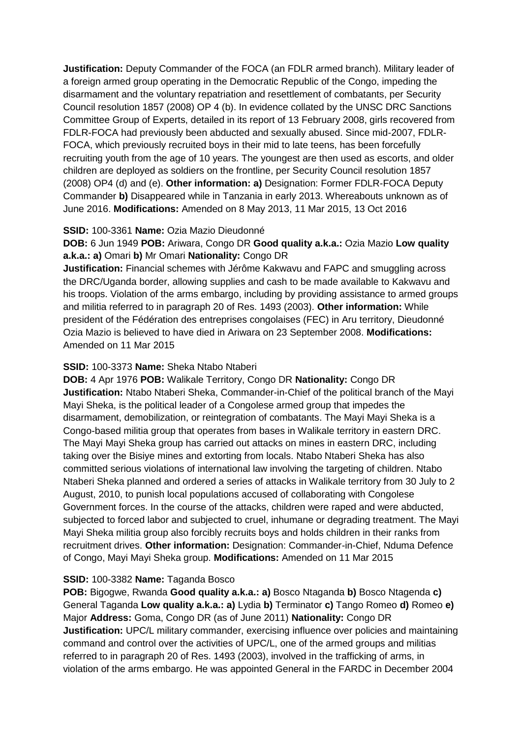**Justification:** Deputy Commander of the FOCA (an FDLR armed branch). Military leader of a foreign armed group operating in the Democratic Republic of the Congo, impeding the disarmament and the voluntary repatriation and resettlement of combatants, per Security Council resolution 1857 (2008) OP 4 (b). In evidence collated by the UNSC DRC Sanctions Committee Group of Experts, detailed in its report of 13 February 2008, girls recovered from FDLR-FOCA had previously been abducted and sexually abused. Since mid-2007, FDLR-FOCA, which previously recruited boys in their mid to late teens, has been forcefully recruiting youth from the age of 10 years. The youngest are then used as escorts, and older children are deployed as soldiers on the frontline, per Security Council resolution 1857 (2008) OP4 (d) and (e). **Other information: a)** Designation: Former FDLR-FOCA Deputy Commander **b)** Disappeared while in Tanzania in early 2013. Whereabouts unknown as of June 2016. **Modifications:** Amended on 8 May 2013, 11 Mar 2015, 13 Oct 2016

### **SSID:** 100-3361 **Name:** Ozia Mazio Dieudonné

**DOB:** 6 Jun 1949 **POB:** Ariwara, Congo DR **Good quality a.k.a.:** Ozia Mazio **Low quality a.k.a.: a)** Omari **b)** Mr Omari **Nationality:** Congo DR

**Justification:** Financial schemes with Jérôme Kakwavu and FAPC and smuggling across the DRC/Uganda border, allowing supplies and cash to be made available to Kakwavu and his troops. Violation of the arms embargo, including by providing assistance to armed groups and militia referred to in paragraph 20 of Res. 1493 (2003). **Other information:** While president of the Fédération des entreprises congolaises (FEC) in Aru territory, Dieudonné Ozia Mazio is believed to have died in Ariwara on 23 September 2008. **Modifications:**  Amended on 11 Mar 2015

### **SSID:** 100-3373 **Name:** Sheka Ntabo Ntaberi

**DOB:** 4 Apr 1976 **POB:** Walikale Territory, Congo DR **Nationality:** Congo DR **Justification:** Ntabo Ntaberi Sheka, Commander-in-Chief of the political branch of the Mayi Mayi Sheka, is the political leader of a Congolese armed group that impedes the disarmament, demobilization, or reintegration of combatants. The Mayi Mayi Sheka is a Congo-based militia group that operates from bases in Walikale territory in eastern DRC. The Mayi Mayi Sheka group has carried out attacks on mines in eastern DRC, including taking over the Bisiye mines and extorting from locals. Ntabo Ntaberi Sheka has also committed serious violations of international law involving the targeting of children. Ntabo Ntaberi Sheka planned and ordered a series of attacks in Walikale territory from 30 July to 2 August, 2010, to punish local populations accused of collaborating with Congolese Government forces. In the course of the attacks, children were raped and were abducted, subjected to forced labor and subjected to cruel, inhumane or degrading treatment. The Mayi Mayi Sheka militia group also forcibly recruits boys and holds children in their ranks from recruitment drives. **Other information:** Designation: Commander-in-Chief, Nduma Defence of Congo, Mayi Mayi Sheka group. **Modifications:** Amended on 11 Mar 2015

## **SSID:** 100-3382 **Name:** Taganda Bosco

**POB:** Bigogwe, Rwanda **Good quality a.k.a.: a)** Bosco Ntaganda **b)** Bosco Ntagenda **c)**  General Taganda **Low quality a.k.a.: a)** Lydia **b)** Terminator **c)** Tango Romeo **d)** Romeo **e)**  Major **Address:** Goma, Congo DR (as of June 2011) **Nationality:** Congo DR **Justification:** UPC/L military commander, exercising influence over policies and maintaining command and control over the activities of UPC/L, one of the armed groups and militias referred to in paragraph 20 of Res. 1493 (2003), involved in the trafficking of arms, in violation of the arms embargo. He was appointed General in the FARDC in December 2004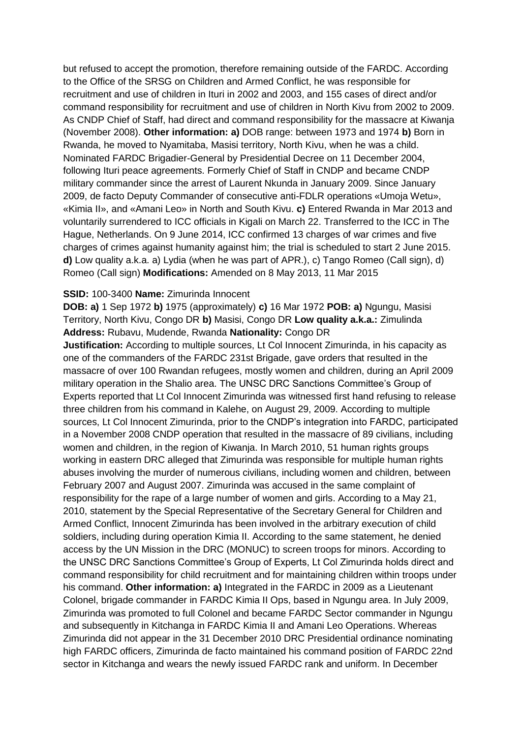but refused to accept the promotion, therefore remaining outside of the FARDC. According to the Office of the SRSG on Children and Armed Conflict, he was responsible for recruitment and use of children in Ituri in 2002 and 2003, and 155 cases of direct and/or command responsibility for recruitment and use of children in North Kivu from 2002 to 2009. As CNDP Chief of Staff, had direct and command responsibility for the massacre at Kiwanja (November 2008). **Other information: a)** DOB range: between 1973 and 1974 **b)** Born in Rwanda, he moved to Nyamitaba, Masisi territory, North Kivu, when he was a child. Nominated FARDC Brigadier-General by Presidential Decree on 11 December 2004, following Ituri peace agreements. Formerly Chief of Staff in CNDP and became CNDP military commander since the arrest of Laurent Nkunda in January 2009. Since January 2009, de facto Deputy Commander of consecutive anti-FDLR operations «Umoja Wetu», «Kimia II», and «Amani Leo» in North and South Kivu. **c)** Entered Rwanda in Mar 2013 and voluntarily surrendered to ICC officials in Kigali on March 22. Transferred to the ICC in The Hague, Netherlands. On 9 June 2014, ICC confirmed 13 charges of war crimes and five charges of crimes against humanity against him; the trial is scheduled to start 2 June 2015. **d)** Low quality a.k.a. a) Lydia (when he was part of APR.), c) Tango Romeo (Call sign), d) Romeo (Call sign) **Modifications:** Amended on 8 May 2013, 11 Mar 2015

#### **SSID:** 100-3400 **Name:** Zimurinda Innocent

**DOB: a)** 1 Sep 1972 **b)** 1975 (approximately) **c)** 16 Mar 1972 **POB: a)** Ngungu, Masisi Territory, North Kivu, Congo DR **b)** Masisi, Congo DR **Low quality a.k.a.:** Zimulinda **Address:** Rubavu, Mudende, Rwanda **Nationality:** Congo DR

**Justification:** According to multiple sources, Lt Col Innocent Zimurinda, in his capacity as one of the commanders of the FARDC 231st Brigade, gave orders that resulted in the massacre of over 100 Rwandan refugees, mostly women and children, during an April 2009 military operation in the Shalio area. The UNSC DRC Sanctions Committee's Group of Experts reported that Lt Col Innocent Zimurinda was witnessed first hand refusing to release three children from his command in Kalehe, on August 29, 2009. According to multiple sources, Lt Col Innocent Zimurinda, prior to the CNDP's integration into FARDC, participated in a November 2008 CNDP operation that resulted in the massacre of 89 civilians, including women and children, in the region of Kiwanja. In March 2010, 51 human rights groups working in eastern DRC alleged that Zimurinda was responsible for multiple human rights abuses involving the murder of numerous civilians, including women and children, between February 2007 and August 2007. Zimurinda was accused in the same complaint of responsibility for the rape of a large number of women and girls. According to a May 21, 2010, statement by the Special Representative of the Secretary General for Children and Armed Conflict, Innocent Zimurinda has been involved in the arbitrary execution of child soldiers, including during operation Kimia II. According to the same statement, he denied access by the UN Mission in the DRC (MONUC) to screen troops for minors. According to the UNSC DRC Sanctions Committee's Group of Experts, Lt Col Zimurinda holds direct and command responsibility for child recruitment and for maintaining children within troops under his command. **Other information: a)** Integrated in the FARDC in 2009 as a Lieutenant Colonel, brigade commander in FARDC Kimia II Ops, based in Ngungu area. In July 2009, Zimurinda was promoted to full Colonel and became FARDC Sector commander in Ngungu and subsequently in Kitchanga in FARDC Kimia II and Amani Leo Operations. Whereas Zimurinda did not appear in the 31 December 2010 DRC Presidential ordinance nominating high FARDC officers, Zimurinda de facto maintained his command position of FARDC 22nd sector in Kitchanga and wears the newly issued FARDC rank and uniform. In December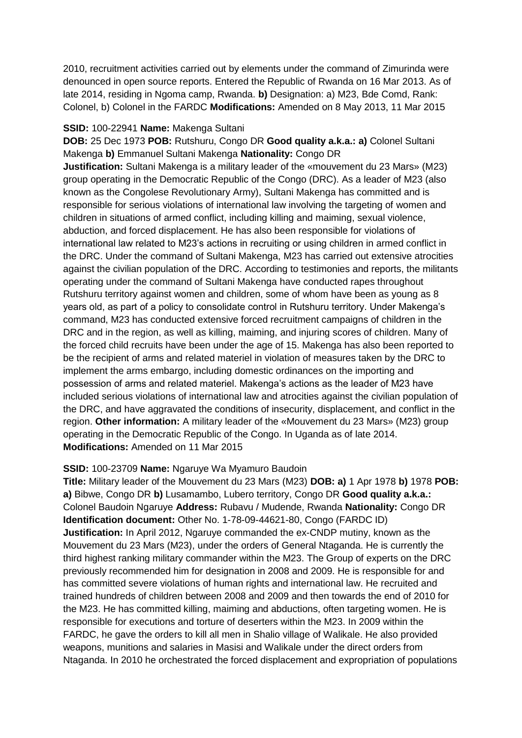2010, recruitment activities carried out by elements under the command of Zimurinda were denounced in open source reports. Entered the Republic of Rwanda on 16 Mar 2013. As of late 2014, residing in Ngoma camp, Rwanda. **b)** Designation: a) M23, Bde Comd, Rank: Colonel, b) Colonel in the FARDC **Modifications:** Amended on 8 May 2013, 11 Mar 2015

### **SSID:** 100-22941 **Name:** Makenga Sultani

**DOB:** 25 Dec 1973 **POB:** Rutshuru, Congo DR **Good quality a.k.a.: a)** Colonel Sultani Makenga **b)** Emmanuel Sultani Makenga **Nationality:** Congo DR **Justification:** Sultani Makenga is a military leader of the «mouvement du 23 Mars» (M23) group operating in the Democratic Republic of the Congo (DRC). As a leader of M23 (also known as the Congolese Revolutionary Army), Sultani Makenga has committed and is responsible for serious violations of international law involving the targeting of women and children in situations of armed conflict, including killing and maiming, sexual violence, abduction, and forced displacement. He has also been responsible for violations of international law related to M23's actions in recruiting or using children in armed conflict in the DRC. Under the command of Sultani Makenga, M23 has carried out extensive atrocities against the civilian population of the DRC. According to testimonies and reports, the militants operating under the command of Sultani Makenga have conducted rapes throughout Rutshuru territory against women and children, some of whom have been as young as 8 years old, as part of a policy to consolidate control in Rutshuru territory. Under Makenga's command, M23 has conducted extensive forced recruitment campaigns of children in the DRC and in the region, as well as killing, maiming, and injuring scores of children. Many of the forced child recruits have been under the age of 15. Makenga has also been reported to be the recipient of arms and related materiel in violation of measures taken by the DRC to implement the arms embargo, including domestic ordinances on the importing and possession of arms and related materiel. Makenga's actions as the leader of M23 have included serious violations of international law and atrocities against the civilian population of the DRC, and have aggravated the conditions of insecurity, displacement, and conflict in the region. **Other information:** A military leader of the «Mouvement du 23 Mars» (M23) group operating in the Democratic Republic of the Congo. In Uganda as of late 2014. **Modifications:** Amended on 11 Mar 2015

## **SSID:** 100-23709 **Name:** Ngaruye Wa Myamuro Baudoin

**Title:** Military leader of the Mouvement du 23 Mars (M23) **DOB: a)** 1 Apr 1978 **b)** 1978 **POB: a)** Bibwe, Congo DR **b)** Lusamambo, Lubero territory, Congo DR **Good quality a.k.a.:**  Colonel Baudoin Ngaruye **Address:** Rubavu / Mudende, Rwanda **Nationality:** Congo DR **Identification document:** Other No. 1-78-09-44621-80, Congo (FARDC ID) **Justification:** In April 2012, Ngaruye commanded the ex-CNDP mutiny, known as the Mouvement du 23 Mars (M23), under the orders of General Ntaganda. He is currently the third highest ranking military commander within the M23. The Group of experts on the DRC previously recommended him for designation in 2008 and 2009. He is responsible for and has committed severe violations of human rights and international law. He recruited and trained hundreds of children between 2008 and 2009 and then towards the end of 2010 for the M23. He has committed killing, maiming and abductions, often targeting women. He is responsible for executions and torture of deserters within the M23. In 2009 within the FARDC, he gave the orders to kill all men in Shalio village of Walikale. He also provided weapons, munitions and salaries in Masisi and Walikale under the direct orders from Ntaganda. In 2010 he orchestrated the forced displacement and expropriation of populations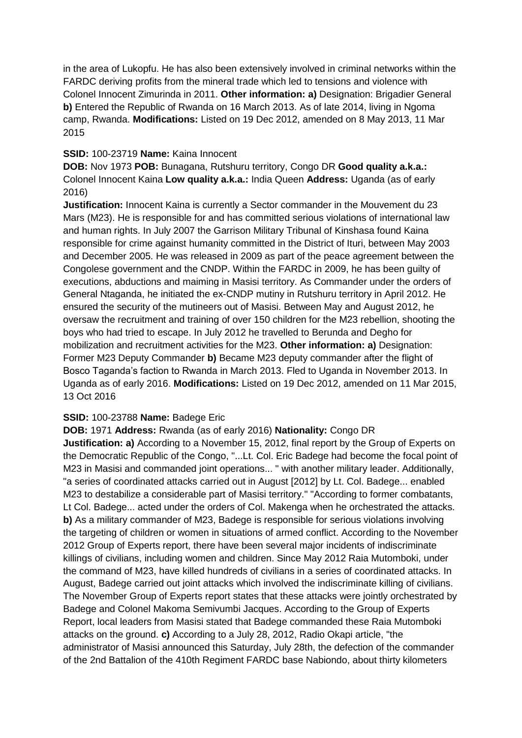in the area of Lukopfu. He has also been extensively involved in criminal networks within the FARDC deriving profits from the mineral trade which led to tensions and violence with Colonel Innocent Zimurinda in 2011. **Other information: a)** Designation: Brigadier General **b)** Entered the Republic of Rwanda on 16 March 2013. As of late 2014, living in Ngoma camp, Rwanda. **Modifications:** Listed on 19 Dec 2012, amended on 8 May 2013, 11 Mar 2015

## **SSID:** 100-23719 **Name:** Kaina Innocent

**DOB:** Nov 1973 **POB:** Bunagana, Rutshuru territory, Congo DR **Good quality a.k.a.:**  Colonel Innocent Kaina **Low quality a.k.a.:** India Queen **Address:** Uganda (as of early 2016)

**Justification:** Innocent Kaina is currently a Sector commander in the Mouvement du 23 Mars (M23). He is responsible for and has committed serious violations of international law and human rights. In July 2007 the Garrison Military Tribunal of Kinshasa found Kaina responsible for crime against humanity committed in the District of Ituri, between May 2003 and December 2005. He was released in 2009 as part of the peace agreement between the Congolese government and the CNDP. Within the FARDC in 2009, he has been guilty of executions, abductions and maiming in Masisi territory. As Commander under the orders of General Ntaganda, he initiated the ex-CNDP mutiny in Rutshuru territory in April 2012. He ensured the security of the mutineers out of Masisi. Between May and August 2012, he oversaw the recruitment and training of over 150 children for the M23 rebellion, shooting the boys who had tried to escape. In July 2012 he travelled to Berunda and Degho for mobilization and recruitment activities for the M23. **Other information: a)** Designation: Former M23 Deputy Commander **b)** Became M23 deputy commander after the flight of Bosco Taganda's faction to Rwanda in March 2013. Fled to Uganda in November 2013. In Uganda as of early 2016. **Modifications:** Listed on 19 Dec 2012, amended on 11 Mar 2015, 13 Oct 2016

# **SSID:** 100-23788 **Name:** Badege Eric

**DOB:** 1971 **Address:** Rwanda (as of early 2016) **Nationality:** Congo DR **Justification: a)** According to a November 15, 2012, final report by the Group of Experts on the Democratic Republic of the Congo, "...Lt. Col. Eric Badege had become the focal point of M23 in Masisi and commanded joint operations... " with another military leader. Additionally, "a series of coordinated attacks carried out in August [2012] by Lt. Col. Badege... enabled M23 to destabilize a considerable part of Masisi territory." "According to former combatants, Lt Col. Badege... acted under the orders of Col. Makenga when he orchestrated the attacks. **b)** As a military commander of M23, Badege is responsible for serious violations involving the targeting of children or women in situations of armed conflict. According to the November 2012 Group of Experts report, there have been several major incidents of indiscriminate killings of civilians, including women and children. Since May 2012 Raia Mutomboki, under the command of M23, have killed hundreds of civilians in a series of coordinated attacks. In August, Badege carried out joint attacks which involved the indiscriminate killing of civilians. The November Group of Experts report states that these attacks were jointly orchestrated by Badege and Colonel Makoma Semivumbi Jacques. According to the Group of Experts Report, local leaders from Masisi stated that Badege commanded these Raia Mutomboki attacks on the ground. **c)** According to a July 28, 2012, Radio Okapi article, "the administrator of Masisi announced this Saturday, July 28th, the defection of the commander of the 2nd Battalion of the 410th Regiment FARDC base Nabiondo, about thirty kilometers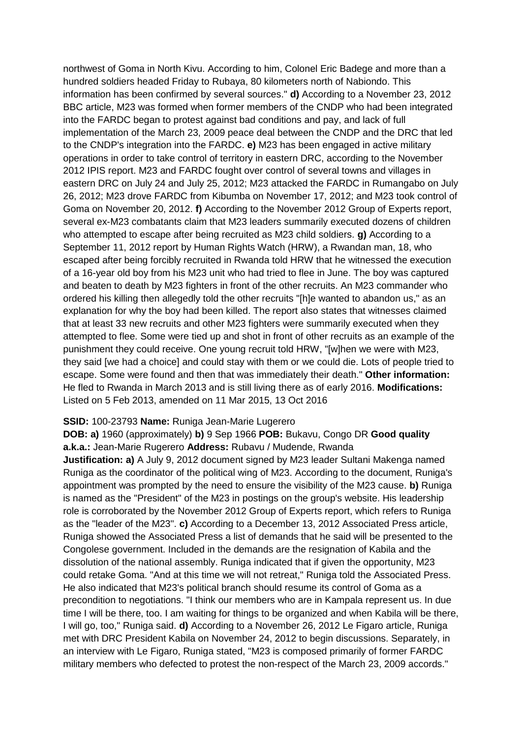northwest of Goma in North Kivu. According to him, Colonel Eric Badege and more than a hundred soldiers headed Friday to Rubaya, 80 kilometers north of Nabiondo. This information has been confirmed by several sources." **d)** According to a November 23, 2012 BBC article, M23 was formed when former members of the CNDP who had been integrated into the FARDC began to protest against bad conditions and pay, and lack of full implementation of the March 23, 2009 peace deal between the CNDP and the DRC that led to the CNDP's integration into the FARDC. **e)** M23 has been engaged in active military operations in order to take control of territory in eastern DRC, according to the November 2012 IPIS report. M23 and FARDC fought over control of several towns and villages in eastern DRC on July 24 and July 25, 2012; M23 attacked the FARDC in Rumangabo on July 26, 2012; M23 drove FARDC from Kibumba on November 17, 2012; and M23 took control of Goma on November 20, 2012. **f)** According to the November 2012 Group of Experts report, several ex-M23 combatants claim that M23 leaders summarily executed dozens of children who attempted to escape after being recruited as M23 child soldiers. **g)** According to a September 11, 2012 report by Human Rights Watch (HRW), a Rwandan man, 18, who escaped after being forcibly recruited in Rwanda told HRW that he witnessed the execution of a 16-year old boy from his M23 unit who had tried to flee in June. The boy was captured and beaten to death by M23 fighters in front of the other recruits. An M23 commander who ordered his killing then allegedly told the other recruits "[h]e wanted to abandon us," as an explanation for why the boy had been killed. The report also states that witnesses claimed that at least 33 new recruits and other M23 fighters were summarily executed when they attempted to flee. Some were tied up and shot in front of other recruits as an example of the punishment they could receive. One young recruit told HRW, "[w]hen we were with M23, they said [we had a choice] and could stay with them or we could die. Lots of people tried to escape. Some were found and then that was immediately their death." **Other information:** He fled to Rwanda in March 2013 and is still living there as of early 2016. **Modifications:**  Listed on 5 Feb 2013, amended on 11 Mar 2015, 13 Oct 2016

#### **SSID:** 100-23793 **Name:** Runiga Jean-Marie Lugerero

**DOB: a)** 1960 (approximately) **b)** 9 Sep 1966 **POB:** Bukavu, Congo DR **Good quality a.k.a.:** Jean-Marie Rugerero **Address:** Rubavu / Mudende, Rwanda

**Justification: a)** A July 9, 2012 document signed by M23 leader Sultani Makenga named Runiga as the coordinator of the political wing of M23. According to the document, Runiga's appointment was prompted by the need to ensure the visibility of the M23 cause. **b)** Runiga is named as the "President" of the M23 in postings on the group's website. His leadership role is corroborated by the November 2012 Group of Experts report, which refers to Runiga as the "leader of the M23". **c)** According to a December 13, 2012 Associated Press article, Runiga showed the Associated Press a list of demands that he said will be presented to the Congolese government. Included in the demands are the resignation of Kabila and the dissolution of the national assembly. Runiga indicated that if given the opportunity, M23 could retake Goma. "And at this time we will not retreat," Runiga told the Associated Press. He also indicated that M23's political branch should resume its control of Goma as a precondition to negotiations. "I think our members who are in Kampala represent us. In due time I will be there, too. I am waiting for things to be organized and when Kabila will be there, I will go, too," Runiga said. **d)** According to a November 26, 2012 Le Figaro article, Runiga met with DRC President Kabila on November 24, 2012 to begin discussions. Separately, in an interview with Le Figaro, Runiga stated, "M23 is composed primarily of former FARDC military members who defected to protest the non-respect of the March 23, 2009 accords."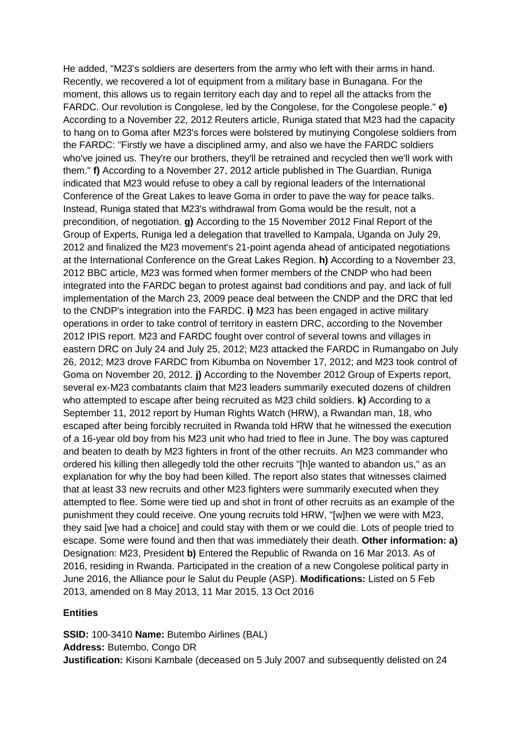He added, "M23's soldiers are deserters from the army who left with their arms in hand. Recently, we recovered a lot of equipment from a military base in Bunagana. For the moment, this allows us to regain territory each day and to repel all the attacks from the FARDC. Our revolution is Congolese, led by the Congolese, for the Congolese people." **e)**  According to a November 22, 2012 Reuters article, Runiga stated that M23 had the capacity to hang on to Goma after M23's forces were bolstered by mutinying Congolese soldiers from the FARDC: "Firstly we have a disciplined army, and also we have the FARDC soldiers who've joined us. They're our brothers, they'll be retrained and recycled then we'll work with them." **f)** According to a November 27, 2012 article published in The Guardian, Runiga indicated that M23 would refuse to obey a call by regional leaders of the International Conference of the Great Lakes to leave Goma in order to pave the way for peace talks. Instead, Runiga stated that M23's withdrawal from Goma would be the result, not a precondition, of negotiation. **g)** According to the 15 November 2012 Final Report of the Group of Experts, Runiga led a delegation that travelled to Kampala, Uganda on July 29, 2012 and finalized the M23 movement's 21-point agenda ahead of anticipated negotiations at the International Conference on the Great Lakes Region. **h)** According to a November 23, 2012 BBC article, M23 was formed when former members of the CNDP who had been integrated into the FARDC began to protest against bad conditions and pay, and lack of full implementation of the March 23, 2009 peace deal between the CNDP and the DRC that led to the CNDP's integration into the FARDC. **i)** M23 has been engaged in active military operations in order to take control of territory in eastern DRC, according to the November 2012 IPIS report. M23 and FARDC fought over control of several towns and villages in eastern DRC on July 24 and July 25, 2012; M23 attacked the FARDC in Rumangabo on July 26, 2012; M23 drove FARDC from Kibumba on November 17, 2012; and M23 took control of Goma on November 20, 2012. **j)** According to the November 2012 Group of Experts report, several ex-M23 combatants claim that M23 leaders summarily executed dozens of children who attempted to escape after being recruited as M23 child soldiers. **k)** According to a September 11, 2012 report by Human Rights Watch (HRW), a Rwandan man, 18, who escaped after being forcibly recruited in Rwanda told HRW that he witnessed the execution of a 16-year old boy from his M23 unit who had tried to flee in June. The boy was captured and beaten to death by M23 fighters in front of the other recruits. An M23 commander who ordered his killing then allegedly told the other recruits "[h]e wanted to abandon us," as an explanation for why the boy had been killed. The report also states that witnesses claimed that at least 33 new recruits and other M23 fighters were summarily executed when they attempted to flee. Some were tied up and shot in front of other recruits as an example of the punishment they could receive. One young recruits told HRW, "[w]hen we were with M23, they said [we had a choice] and could stay with them or we could die. Lots of people tried to escape. Some were found and then that was immediately their death. **Other information: a)**  Designation: M23, President **b)** Entered the Republic of Rwanda on 16 Mar 2013. As of 2016, residing in Rwanda. Participated in the creation of a new Congolese political party in June 2016, the Alliance pour le Salut du Peuple (ASP). **Modifications:** Listed on 5 Feb 2013, amended on 8 May 2013, 11 Mar 2015, 13 Oct 2016

## **Entities**

**SSID:** 100-3410 **Name:** Butembo Airlines (BAL) **Address:** Butembo, Congo DR **Justification:** Kisoni Kambale (deceased on 5 July 2007 and subsequently delisted on 24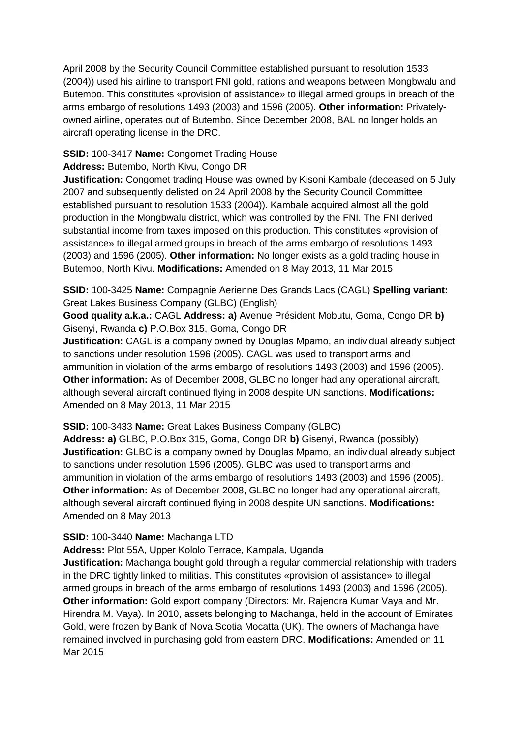April 2008 by the Security Council Committee established pursuant to resolution 1533 (2004)) used his airline to transport FNI gold, rations and weapons between Mongbwalu and Butembo. This constitutes «provision of assistance» to illegal armed groups in breach of the arms embargo of resolutions 1493 (2003) and 1596 (2005). **Other information:** Privatelyowned airline, operates out of Butembo. Since December 2008, BAL no longer holds an aircraft operating license in the DRC.

### **SSID:** 100-3417 **Name:** Congomet Trading House

#### **Address:** Butembo, North Kivu, Congo DR

**Justification:** Congomet trading House was owned by Kisoni Kambale (deceased on 5 July 2007 and subsequently delisted on 24 April 2008 by the Security Council Committee established pursuant to resolution 1533 (2004)). Kambale acquired almost all the gold production in the Mongbwalu district, which was controlled by the FNI. The FNI derived substantial income from taxes imposed on this production. This constitutes «provision of assistance» to illegal armed groups in breach of the arms embargo of resolutions 1493 (2003) and 1596 (2005). **Other information:** No longer exists as a gold trading house in Butembo, North Kivu. **Modifications:** Amended on 8 May 2013, 11 Mar 2015

**SSID:** 100-3425 **Name:** Compagnie Aerienne Des Grands Lacs (CAGL) **Spelling variant:**  Great Lakes Business Company (GLBC) (English)

**Good quality a.k.a.:** CAGL **Address: a)** Avenue Président Mobutu, Goma, Congo DR **b)**  Gisenyi, Rwanda **c)** P.O.Box 315, Goma, Congo DR

**Justification:** CAGL is a company owned by Douglas Mpamo, an individual already subject to sanctions under resolution 1596 (2005). CAGL was used to transport arms and ammunition in violation of the arms embargo of resolutions 1493 (2003) and 1596 (2005). **Other information:** As of December 2008, GLBC no longer had any operational aircraft, although several aircraft continued flying in 2008 despite UN sanctions. **Modifications:**  Amended on 8 May 2013, 11 Mar 2015

### **SSID:** 100-3433 **Name:** Great Lakes Business Company (GLBC)

**Address: a)** GLBC, P.O.Box 315, Goma, Congo DR **b)** Gisenyi, Rwanda (possibly) **Justification:** GLBC is a company owned by Douglas Mpamo, an individual already subject to sanctions under resolution 1596 (2005). GLBC was used to transport arms and ammunition in violation of the arms embargo of resolutions 1493 (2003) and 1596 (2005). **Other information:** As of December 2008, GLBC no longer had any operational aircraft, although several aircraft continued flying in 2008 despite UN sanctions. **Modifications:**  Amended on 8 May 2013

#### **SSID:** 100-3440 **Name:** Machanga LTD

**Address:** Plot 55A, Upper Kololo Terrace, Kampala, Uganda

**Justification:** Machanga bought gold through a regular commercial relationship with traders in the DRC tightly linked to militias. This constitutes «provision of assistance» to illegal armed groups in breach of the arms embargo of resolutions 1493 (2003) and 1596 (2005). **Other information:** Gold export company (Directors: Mr. Rajendra Kumar Vaya and Mr. Hirendra M. Vaya). In 2010, assets belonging to Machanga, held in the account of Emirates Gold, were frozen by Bank of Nova Scotia Mocatta (UK). The owners of Machanga have remained involved in purchasing gold from eastern DRC. **Modifications:** Amended on 11 Mar 2015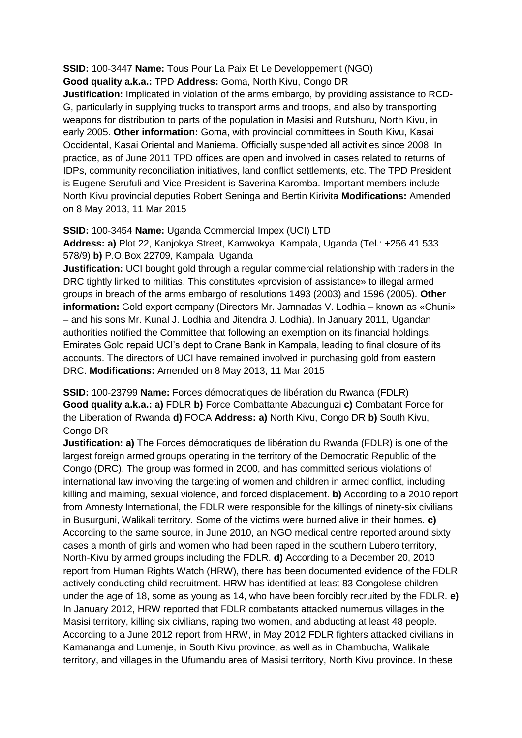**SSID:** 100-3447 **Name:** Tous Pour La Paix Et Le Developpement (NGO) **Good quality a.k.a.:** TPD **Address:** Goma, North Kivu, Congo DR

**Justification:** Implicated in violation of the arms embargo, by providing assistance to RCD-G, particularly in supplying trucks to transport arms and troops, and also by transporting weapons for distribution to parts of the population in Masisi and Rutshuru, North Kivu, in early 2005. **Other information:** Goma, with provincial committees in South Kivu, Kasai Occidental, Kasai Oriental and Maniema. Officially suspended all activities since 2008. In practice, as of June 2011 TPD offices are open and involved in cases related to returns of IDPs, community reconciliation initiatives, land conflict settlements, etc. The TPD President is Eugene Serufuli and Vice-President is Saverina Karomba. Important members include North Kivu provincial deputies Robert Seninga and Bertin Kirivita **Modifications:** Amended on 8 May 2013, 11 Mar 2015

**SSID:** 100-3454 **Name:** Uganda Commercial Impex (UCI) LTD **Address: a)** Plot 22, Kanjokya Street, Kamwokya, Kampala, Uganda (Tel.: +256 41 533 578/9) **b)** P.O.Box 22709, Kampala, Uganda

**Justification:** UCI bought gold through a regular commercial relationship with traders in the DRC tightly linked to militias. This constitutes «provision of assistance» to illegal armed groups in breach of the arms embargo of resolutions 1493 (2003) and 1596 (2005). **Other information:** Gold export company (Directors Mr. Jamnadas V. Lodhia – known as «Chuni» – and his sons Mr. Kunal J. Lodhia and Jitendra J. Lodhia). In January 2011, Ugandan authorities notified the Committee that following an exemption on its financial holdings, Emirates Gold repaid UCI's dept to Crane Bank in Kampala, leading to final closure of its accounts. The directors of UCI have remained involved in purchasing gold from eastern DRC. **Modifications:** Amended on 8 May 2013, 11 Mar 2015

**SSID:** 100-23799 **Name:** Forces démocratiques de libération du Rwanda (FDLR) **Good quality a.k.a.: a)** FDLR **b)** Force Combattante Abacunguzi **c)** Combatant Force for the Liberation of Rwanda **d)** FOCA **Address: a)** North Kivu, Congo DR **b)** South Kivu, Congo DR

**Justification: a)** The Forces démocratiques de libération du Rwanda (FDLR) is one of the largest foreign armed groups operating in the territory of the Democratic Republic of the Congo (DRC). The group was formed in 2000, and has committed serious violations of international law involving the targeting of women and children in armed conflict, including killing and maiming, sexual violence, and forced displacement. **b)** According to a 2010 report from Amnesty International, the FDLR were responsible for the killings of ninety-six civilians in Busurguni, Walikali territory. Some of the victims were burned alive in their homes. **c)**  According to the same source, in June 2010, an NGO medical centre reported around sixty cases a month of girls and women who had been raped in the southern Lubero territory, North-Kivu by armed groups including the FDLR. **d)** According to a December 20, 2010 report from Human Rights Watch (HRW), there has been documented evidence of the FDLR actively conducting child recruitment. HRW has identified at least 83 Congolese children under the age of 18, some as young as 14, who have been forcibly recruited by the FDLR. **e)**  In January 2012, HRW reported that FDLR combatants attacked numerous villages in the Masisi territory, killing six civilians, raping two women, and abducting at least 48 people. According to a June 2012 report from HRW, in May 2012 FDLR fighters attacked civilians in Kamananga and Lumenje, in South Kivu province, as well as in Chambucha, Walikale territory, and villages in the Ufumandu area of Masisi territory, North Kivu province. In these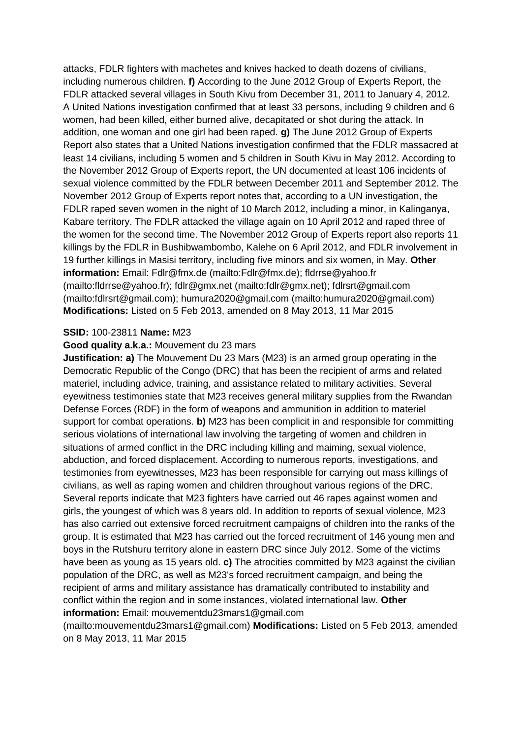attacks, FDLR fighters with machetes and knives hacked to death dozens of civilians, including numerous children. **f)** According to the June 2012 Group of Experts Report, the FDLR attacked several villages in South Kivu from December 31, 2011 to January 4, 2012. A United Nations investigation confirmed that at least 33 persons, including 9 children and 6 women, had been killed, either burned alive, decapitated or shot during the attack. In addition, one woman and one girl had been raped. **g)** The June 2012 Group of Experts Report also states that a United Nations investigation confirmed that the FDLR massacred at least 14 civilians, including 5 women and 5 children in South Kivu in May 2012. According to the November 2012 Group of Experts report, the UN documented at least 106 incidents of sexual violence committed by the FDLR between December 2011 and September 2012. The November 2012 Group of Experts report notes that, according to a UN investigation, the FDLR raped seven women in the night of 10 March 2012, including a minor, in Kalinganya, Kabare territory. The FDLR attacked the village again on 10 April 2012 and raped three of the women for the second time. The November 2012 Group of Experts report also reports 11 killings by the FDLR in Bushibwambombo, Kalehe on 6 April 2012, and FDLR involvement in 19 further killings in Masisi territory, including five minors and six women, in May. **Other information:** Email: Fdlr@fmx.de (mailto:Fdlr@fmx.de); fldrrse@yahoo.fr (mailto:fldrrse@yahoo.fr); fdlr@gmx.net (mailto:fdlr@gmx.net); fdlrsrt@gmail.com (mailto:fdlrsrt@gmail.com); humura2020@gmail.com (mailto:humura2020@gmail.com) **Modifications:** Listed on 5 Feb 2013, amended on 8 May 2013, 11 Mar 2015

### **SSID:** 100-23811 **Name:** M23

### **Good quality a.k.a.:** Mouvement du 23 mars

**Justification: a)** The Mouvement Du 23 Mars (M23) is an armed group operating in the Democratic Republic of the Congo (DRC) that has been the recipient of arms and related materiel, including advice, training, and assistance related to military activities. Several eyewitness testimonies state that M23 receives general military supplies from the Rwandan Defense Forces (RDF) in the form of weapons and ammunition in addition to materiel support for combat operations. **b)** M23 has been complicit in and responsible for committing serious violations of international law involving the targeting of women and children in situations of armed conflict in the DRC including killing and maiming, sexual violence, abduction, and forced displacement. According to numerous reports, investigations, and testimonies from eyewitnesses, M23 has been responsible for carrying out mass killings of civilians, as well as raping women and children throughout various regions of the DRC. Several reports indicate that M23 fighters have carried out 46 rapes against women and girls, the youngest of which was 8 years old. In addition to reports of sexual violence, M23 has also carried out extensive forced recruitment campaigns of children into the ranks of the group. It is estimated that M23 has carried out the forced recruitment of 146 young men and boys in the Rutshuru territory alone in eastern DRC since July 2012. Some of the victims have been as young as 15 years old. **c)** The atrocities committed by M23 against the civilian population of the DRC, as well as M23's forced recruitment campaign, and being the recipient of arms and military assistance has dramatically contributed to instability and conflict within the region and in some instances, violated international law. **Other information:** Email: mouvementdu23mars1@gmail.com

(mailto:mouvementdu23mars1@gmail.com) **Modifications:** Listed on 5 Feb 2013, amended on 8 May 2013, 11 Mar 2015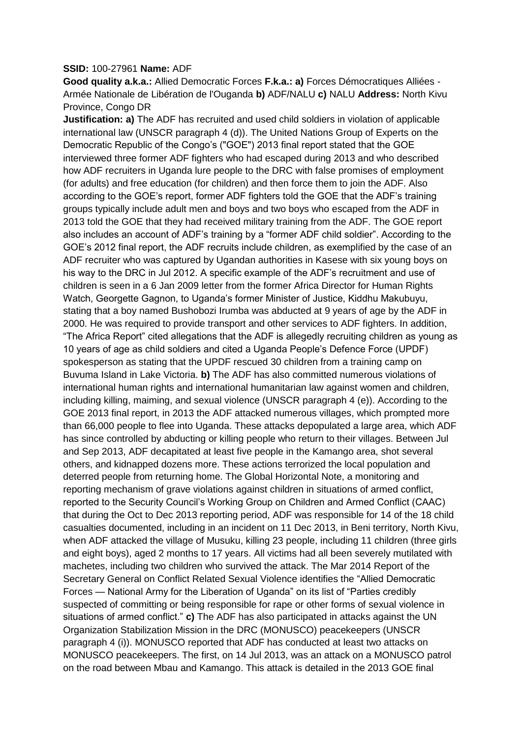#### **SSID:** 100-27961 **Name:** ADF

**Good quality a.k.a.:** Allied Democratic Forces **F.k.a.: a)** Forces Démocratiques Alliées - Armée Nationale de Libération de l'Ouganda **b)** ADF/NALU **c)** NALU **Address:** North Kivu Province, Congo DR

**Justification: a)** The ADF has recruited and used child soldiers in violation of applicable international law (UNSCR paragraph 4 (d)). The United Nations Group of Experts on the Democratic Republic of the Congo's ("GOE") 2013 final report stated that the GOE interviewed three former ADF fighters who had escaped during 2013 and who described how ADF recruiters in Uganda lure people to the DRC with false promises of employment (for adults) and free education (for children) and then force them to join the ADF. Also according to the GOE's report, former ADF fighters told the GOE that the ADF's training groups typically include adult men and boys and two boys who escaped from the ADF in 2013 told the GOE that they had received military training from the ADF. The GOE report also includes an account of ADF's training by a "former ADF child soldier". According to the GOE's 2012 final report, the ADF recruits include children, as exemplified by the case of an ADF recruiter who was captured by Ugandan authorities in Kasese with six young boys on his way to the DRC in Jul 2012. A specific example of the ADF's recruitment and use of children is seen in a 6 Jan 2009 letter from the former Africa Director for Human Rights Watch, Georgette Gagnon, to Uganda's former Minister of Justice, Kiddhu Makubuyu, stating that a boy named Bushobozi Irumba was abducted at 9 years of age by the ADF in 2000. He was required to provide transport and other services to ADF fighters. In addition, "The Africa Report" cited allegations that the ADF is allegedly recruiting children as young as 10 years of age as child soldiers and cited a Uganda People's Defence Force (UPDF) spokesperson as stating that the UPDF rescued 30 children from a training camp on Buvuma Island in Lake Victoria. **b)** The ADF has also committed numerous violations of international human rights and international humanitarian law against women and children, including killing, maiming, and sexual violence (UNSCR paragraph 4 (e)). According to the GOE 2013 final report, in 2013 the ADF attacked numerous villages, which prompted more than 66,000 people to flee into Uganda. These attacks depopulated a large area, which ADF has since controlled by abducting or killing people who return to their villages. Between Jul and Sep 2013, ADF decapitated at least five people in the Kamango area, shot several others, and kidnapped dozens more. These actions terrorized the local population and deterred people from returning home. The Global Horizontal Note, a monitoring and reporting mechanism of grave violations against children in situations of armed conflict, reported to the Security Council's Working Group on Children and Armed Conflict (CAAC) that during the Oct to Dec 2013 reporting period, ADF was responsible for 14 of the 18 child casualties documented, including in an incident on 11 Dec 2013, in Beni territory, North Kivu, when ADF attacked the village of Musuku, killing 23 people, including 11 children (three girls and eight boys), aged 2 months to 17 years. All victims had all been severely mutilated with machetes, including two children who survived the attack. The Mar 2014 Report of the Secretary General on Conflict Related Sexual Violence identifies the "Allied Democratic Forces — National Army for the Liberation of Uganda" on its list of "Parties credibly suspected of committing or being responsible for rape or other forms of sexual violence in situations of armed conflict." **c)** The ADF has also participated in attacks against the UN Organization Stabilization Mission in the DRC (MONUSCO) peacekeepers (UNSCR paragraph 4 (i)). MONUSCO reported that ADF has conducted at least two attacks on MONUSCO peacekeepers. The first, on 14 Jul 2013, was an attack on a MONUSCO patrol on the road between Mbau and Kamango. This attack is detailed in the 2013 GOE final